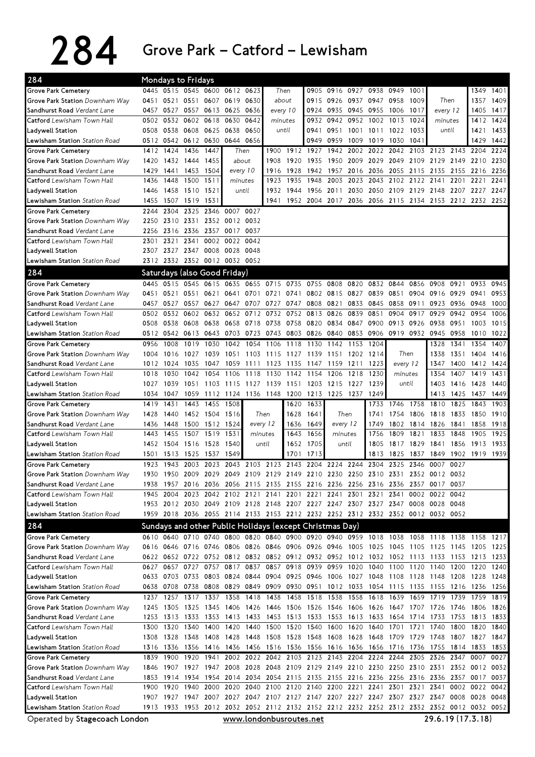| 284                                                           | Mondays to Fridays |                     |           |                                       |                               |                                                                                                                                                                                        |                          |         |                                                        |           |           |                     |                               |                   |                     |      |              |              |
|---------------------------------------------------------------|--------------------|---------------------|-----------|---------------------------------------|-------------------------------|----------------------------------------------------------------------------------------------------------------------------------------------------------------------------------------|--------------------------|---------|--------------------------------------------------------|-----------|-----------|---------------------|-------------------------------|-------------------|---------------------|------|--------------|--------------|
| <b>Grove Park Cemetery</b>                                    |                    |                     |           |                                       | 0445 0515 0545 0600 0612 0623 |                                                                                                                                                                                        | Then                     |         | 0905                                                   |           |           | 0916 0927 0938 0949 |                               | 1001              |                     |      | 1349         | 1401         |
| Grove Park Station Downham Way                                | 0451               | 0521                |           |                                       | 0551 0607 0619 0630           |                                                                                                                                                                                        | about                    |         | 0915                                                   | 0926      |           | 0937 0947 0958      |                               | 1009              | Then                |      | 1357         | 1409         |
| Sandhurst Road Verdant Lane                                   |                    |                     |           |                                       | 0457 0527 0557 0613 0625 0636 |                                                                                                                                                                                        | every 10                 |         | 0924                                                   | 0935      |           | 0945 0955 1006      |                               | 1017              | every 12            |      | 1405         | 1417         |
| Catford Lewisham Town Hall                                    |                    | 0502 0532 0602      |           | 0618                                  | 0630                          | 0642                                                                                                                                                                                   |                          | minutes |                                                        | 0942      | 0952 1002 |                     | 1013                          | 1024              | minutes             |      | 1412         | 1424         |
| Ladywell Station                                              | 0508               | 0538                | 0608 0625 |                                       | 0638<br>0650                  |                                                                                                                                                                                        | until                    |         | 0941                                                   | 0951      |           | 1001 1011 1022      |                               | 1033              | until               |      | 1421         | 1433         |
| Lewisham Station Station Road                                 |                    | 0512 0542 0612 0630 |           |                                       | 0644 0656                     |                                                                                                                                                                                        |                          |         | 0949                                                   | 0959      | 1009      | 1019 1030           |                               | 1041              |                     |      | 1429         | 1442         |
| <b>Grove Park Cemetery</b>                                    |                    | 1412 1424           | 1436      | 1447                                  |                               | Then                                                                                                                                                                                   | 1900                     |         | 1912 1927                                              | 1942      |           |                     | 2002 2022 2042 2103 2123 2143 |                   |                     |      | 2204         | 2224         |
| Grove Park Station Downham Way                                | 1420               | 1432 1444           |           | 1455                                  |                               | about                                                                                                                                                                                  | 1908                     |         | 1920 1935                                              | 1950 2009 |           | 2029 2049           |                               | 2109              | 2129 2149           |      | 2210         | 2230         |
| Sandhurst Road Verdant Lane                                   | 1429               | 1441                | 1453      | 1504                                  |                               | every 10                                                                                                                                                                               | 1916                     | 1928    | 1942                                                   | 1957      | 2016      | 2036                | 2055                          | 2115              | 2135 2155           |      | 2216         | 2236         |
| Catford Lewisham Town Hall                                    | 1436               | 1448                | 1500      | 1511                                  |                               | minutes                                                                                                                                                                                | 1923                     | 1935    | 1948                                                   | 2003      | 2023      | 2043                | 2102                          | 2122              | 2141                | 2201 | 2221         | 2241         |
| Ladywell Station                                              | 1446               | 1458                | 1510      | 1521                                  |                               | until                                                                                                                                                                                  | 1932                     |         | 1944 1956                                              | 2011      | 2030      | 2050 2109           |                               | 2129              | 2148 2207 2227      |      |              | 2247         |
| Lewisham Station Station Road                                 | 1455               | 1507                | 1519      | 1531                                  |                               |                                                                                                                                                                                        | 1941                     |         | 1952 2004 2017 2036 2056 2115 2134 2153 2212 2232 2252 |           |           |                     |                               |                   |                     |      |              |              |
| <b>Grove Park Cemetery</b>                                    | 2244               | 2304                | 2325      | 2346 0007                             |                               | 0027                                                                                                                                                                                   |                          |         |                                                        |           |           |                     |                               |                   |                     |      |              |              |
| Grove Park Station Downham Way                                | 2250               |                     |           |                                       | 2310 2331 2352 0012 0032      |                                                                                                                                                                                        |                          |         |                                                        |           |           |                     |                               |                   |                     |      |              |              |
| Sandhurst Road Verdant Lane                                   | 2256               | 2316 2336           |           |                                       | 2357 0017 0037                |                                                                                                                                                                                        |                          |         |                                                        |           |           |                     |                               |                   |                     |      |              |              |
| Catford Lewisham Town Hall                                    | 2301               |                     | 2321 2341 | 0002                                  | 0022 0042                     |                                                                                                                                                                                        |                          |         |                                                        |           |           |                     |                               |                   |                     |      |              |              |
| Ladywell Station                                              |                    |                     |           |                                       | 2307 2327 2347 0008 0028 0048 |                                                                                                                                                                                        |                          |         |                                                        |           |           |                     |                               |                   |                     |      |              |              |
| <b>Lewisham Station</b> Station Road                          |                    |                     |           |                                       | 2312 2332 2352 0012 0032 0052 |                                                                                                                                                                                        |                          |         |                                                        |           |           |                     |                               |                   |                     |      |              |              |
| 284                                                           |                    |                     |           |                                       | Saturdays (also Good Friday)  |                                                                                                                                                                                        |                          |         |                                                        |           |           |                     |                               |                   |                     |      |              |              |
| <b>Grove Park Cemetery</b>                                    | 0445               |                     |           | 0515 0545 0615                        | 0635                          |                                                                                                                                                                                        | 0655 0715 0735 0755 0808 |         |                                                        |           | 0820      | 0832                | 0844                          | 0856              | 0908                | 0921 | 0933         | 0945         |
| Grove Park Station Downham Way                                | 0451               | 0521 0551 0621      |           |                                       | 0641                          | 0701                                                                                                                                                                                   | 0721                     |         | 0741 0802 0815                                         |           | 0827      | 0839 0851           |                               | 0904              | 0916 0929           |      | 0941         | 0953         |
| Sandhurst Road Verdant Lane                                   | 0457               | 0527                | 0557      | 0627                                  | 0647                          | 0707                                                                                                                                                                                   | 0727                     | 0747    | 0808                                                   | 0821      | 0833      | 0845                | 0858                          | 0911              | 0923                | 0936 | 0948         | 1000         |
| Catford Lewisham Town Hall                                    | 0502               | 0532                | 0602      | 0632                                  | 0652                          | 0712                                                                                                                                                                                   | 0732                     | 0752    | 0813                                                   | 0826      | 0839      | 0851                | 0904                          | 0917              | 0929                | 0942 | 0954         | 1006         |
| Ladvwell Station                                              |                    | 0508 0538 0608      |           | 0638                                  |                               | 0658 0718 0738                                                                                                                                                                         |                          |         | 0758 0820                                              | 0834      | 0847      | 0900                | 0913                          | 0926              | 0938 0951           |      | 1003         | 1015         |
| <b>Lewisham Station</b> Station Road                          |                    | 0512 0542 0613      |           |                                       |                               | 0643 0703 0723 0743                                                                                                                                                                    |                          |         | 0803 0826                                              | 0840      |           |                     | 0853 0906 0919 0932 0945 0958 |                   |                     |      | 1010         | 1022         |
| <b>Grove Park Cemetery</b>                                    | 0956               | 1008                | 1019      | 1030                                  | 1042                          | 1054                                                                                                                                                                                   | 1106                     | 1118    | 1130                                                   | 1142      | 1153      | 1204                |                               |                   | 1328                | 1341 | 1354         | 1407         |
| Grove Park Station Downham Way                                | 1004               | 1016                | 1027      | 1039                                  | 1051                          | 1103                                                                                                                                                                                   | 1115                     | 1127    | 1139                                                   | 1151      | 1202      | 1214                | Then                          |                   | 1338                | 1351 | 1404         | 1416         |
| Sandhurst Road Verdant Lane                                   | 1012               | 1024                | 1035      | 1047                                  | 1059                          | 1111                                                                                                                                                                                   | 1123                     | 1135    | 1147                                                   | 1159      | 1211      | 1223                | every 12                      |                   | 1347                | 1400 | 1412 1424    |              |
| <b>Catford</b> Lewisham Town Hall                             | 1018               | 1030                | 1042      | 1054                                  | 1106                          | 1118                                                                                                                                                                                   | 1130                     | 1142    | 1154                                                   | 1206      | 1218      | 1230                | minutes                       |                   | 1354                | 1407 | 1419         | 1431         |
| Ladywell Station                                              | 1027               | 1039                | 1051      | 1103                                  | 1115                          | 1127                                                                                                                                                                                   | 1139                     | 1151    | 1203                                                   | 1215      | 1227      | 1239                | until                         |                   | 1403                | 1416 | 1428         | 1440         |
| Lewisham Station Station Road                                 | 1034               | 1047                | 1059      |                                       |                               | 1112 1124 1136 1148                                                                                                                                                                    |                          | 1200    | 1213                                                   | 1225 1237 |           | 1249                |                               |                   | 1413                | 1425 | 1437         | 1449         |
| <b>Grove Park Cemetery</b>                                    | 1419               | 1431                | 1443      | 1455                                  | 1508                          |                                                                                                                                                                                        |                          | 1620    | 1633                                                   | Then      |           | 1733                | 1746 1758                     |                   | 1810 1825           |      | 1843         | 1903         |
| Grove Park Station Downham Way<br>Sandhurst Road Verdant Lane | 1428<br>1436       | 1448                |           | 1440 1452 1504 1516<br>1500 1512 1524 |                               | every 12                                                                                                                                                                               | Then                     |         | 1628 1641<br>1636 1649                                 | every 12  |           | 1741<br>1749        | 1754<br>1802                  | 1806<br>1814 1826 | 1818 1833           | 1841 | 1850<br>1858 | 1910<br>1918 |
| Catford Lewisham Town Hall                                    | 1443               | 1455                | 1507 1519 |                                       | 1531                          | minutes                                                                                                                                                                                |                          | 1643    | 1656                                                   | minutes   |           | 1756                | 1809                          | 1821              | 1833                | 1848 | 1905         | 1925         |
| Ladvwell Station                                              |                    | 1452 1504 1516 1528 |           |                                       | 1540                          | until                                                                                                                                                                                  |                          |         | 1652 1705                                              | until     |           | 1805                | 1817 1829                     |                   | 1841 1856           |      | 1913         | 1933         |
| Lewisham Station Station Road                                 |                    | 1501 1513 1525 1537 |           |                                       | 1549                          |                                                                                                                                                                                        |                          | 1701    | 1713                                                   |           |           | 1813                | 1825                          | 1837              | 1849 1902 1919 1939 |      |              |              |
| <b>Grove Park Cemetery</b>                                    | 1923               | 1943                | 2003      | 2023                                  |                               | 2043 2103 2123                                                                                                                                                                         |                          |         | 2143 2204 2224 2244 2304                               |           |           |                     | 2325                          | 2346              | 0007                | 0027 |              |              |
| Grove Park Station Downham Wav                                |                    |                     |           |                                       |                               | 1930 1950 2009 2029 2049 2109 2129 2149 2210 2230 2250 2310 2331 2352 0012 0032                                                                                                        |                          |         |                                                        |           |           |                     |                               |                   |                     |      |              |              |
| Sandhurst Road <i>Verdant Lane</i>                            |                    |                     |           |                                       |                               |                                                                                                                                                                                        |                          |         |                                                        |           |           |                     |                               |                   |                     |      |              |              |
| Catford Lewisham Town Hall                                    |                    |                     |           |                                       |                               |                                                                                                                                                                                        |                          |         |                                                        |           |           |                     |                               |                   |                     |      |              |              |
|                                                               |                    |                     |           |                                       |                               | 1938 1957 2016 2036 2056 2115 2135 2155 2216 2236 2256 2316 2336 2357 0017 0037<br>1945 2004 2023 2042 2102 2121 2141 2201 2221 2241 2301 2321 2341 0002 0022 0042                     |                          |         |                                                        |           |           |                     |                               |                   |                     |      |              |              |
| Ladywell Station                                              |                    |                     |           |                                       |                               | 1953 2012 2030 2049 2109 2128 2148 2207 2227 2247 2307 2327 2347 0008 0028 0048                                                                                                        |                          |         |                                                        |           |           |                     |                               |                   |                     |      |              |              |
| <b>Lewisham Station</b> Station Road                          |                    |                     |           |                                       |                               | 1959 2018 2036 2055 2114 2133 2153 2212 2232 2252 2312 2332 2352 0012 0032 0052                                                                                                        |                          |         |                                                        |           |           |                     |                               |                   |                     |      |              |              |
|                                                               |                    |                     |           |                                       |                               |                                                                                                                                                                                        |                          |         |                                                        |           |           |                     |                               |                   |                     |      |              |              |
| 284                                                           |                    |                     |           |                                       |                               | Sundays and other Public Holidays (except Christmas Day)                                                                                                                               |                          |         |                                                        |           |           |                     |                               |                   |                     |      |              |              |
| Grove Park Cemetery                                           |                    |                     |           |                                       |                               | 0610 0640 0710 0740 0800 0820 0840 0900 0920 0940 0959 1018 1038 1058 1118 1138 1158 1217                                                                                              |                          |         |                                                        |           |           |                     |                               |                   |                     |      |              |              |
| Grove Park Station Downham Way                                |                    |                     |           |                                       |                               | 0616 0646 0716 0746 0806 0826 0846 0906 0926 0946 1005 1025 1045 1105 1125 1145 1205 1225                                                                                              |                          |         |                                                        |           |           |                     |                               |                   |                     |      |              |              |
| Sandhurst Road <i>Verdant Lane</i>                            |                    |                     |           |                                       |                               | 0622 0652 0722 0752 0812 0832 0852 0912 0932 0952 1012 1032 1052 1113 1133 1153 1213 1233                                                                                              |                          |         |                                                        |           |           |                     |                               |                   |                     |      |              |              |
| <b>Catford</b> Lewisham Town Hall                             |                    |                     |           |                                       |                               | 0627 0657 0727 0757 0817 0837 0857 0918 0939 0959 1020 1040 1100 1120 1140 1200                                                                                                        |                          |         |                                                        |           |           |                     |                               |                   |                     |      | 1220 1240    |              |
| Ladywell Station<br>Lewisham Station Station Road             |                    |                     |           |                                       |                               | 0633 0703 0733 0803 0824 0844 0904 0925 0946 1006 1027 1048 1108 1128 1148 1208 1228 1248                                                                                              |                          |         |                                                        |           |           |                     |                               |                   |                     |      |              |              |
|                                                               |                    |                     |           |                                       |                               | 0638 0708 0738 0808 0829 0849 0909 0930 0951 1012 1033 1054 1115 1135 1155 1216 1236 1256<br>1237 1257 1317 1337 1358 1418 1438 1458 1518 1538 1558 1618 1639 1659 1719 1739 1759 1819 |                          |         |                                                        |           |           |                     |                               |                   |                     |      |              |              |
| <b>Grove Park Cemetery</b><br>Grove Park Station Downham Way  |                    |                     |           |                                       |                               | 1245 1305 1325 1345 1406 1426 1446 1506 1526 1546 1606 1626 1647 1707 1726 1746 1806 1826                                                                                              |                          |         |                                                        |           |           |                     |                               |                   |                     |      |              |              |
| Sandhurst Road Verdant Lane                                   |                    |                     |           |                                       |                               | 1253 1313 1333 1353 1413 1433 1453 1513 1533 1553 1613 1633 1654 1714 1733 1753 1813 1833                                                                                              |                          |         |                                                        |           |           |                     |                               |                   |                     |      |              |              |
| <b>Catford</b> Lewisham Town Hall                             |                    |                     |           |                                       |                               | 1300 1320 1340 1400 1420 1440 1500 1520 1540 1600 1620 1640 1701 1721 1740 1800                                                                                                        |                          |         |                                                        |           |           |                     |                               |                   |                     |      | 1820 1840    |              |
| Ladywell Station                                              |                    | 1308 1328 1348      |           |                                       |                               | 1408 1428 1448 1508 1528 1548 1608 1628 1648 1709 1729 1748 1807 1827 1847                                                                                                             |                          |         |                                                        |           |           |                     |                               |                   |                     |      |              |              |
| <b>Lewisham Station</b> Station Road                          |                    |                     |           |                                       |                               | 1316 1336 1356 1416 1436 1456 1516 1536 1556 1616 1636 1656 1716 1736 1755 1814 1833 1853                                                                                              |                          |         |                                                        |           |           |                     |                               |                   |                     |      |              |              |
| <b>Grove Park Cemetery</b>                                    |                    |                     |           |                                       |                               | 1839 1900 1920 1941 2002 2022 2042 2103 2123 2143 2204 2224 2244 2305 2326 2347 0007 0027                                                                                              |                          |         |                                                        |           |           |                     |                               |                   |                     |      |              |              |
| Grove Park Station Downham Way                                |                    |                     |           |                                       |                               | 1846 1907 1927 1947 2008 2028 2048 2109 2129 2149 2210 2230 2250 2310 2331 2352 0012 0032                                                                                              |                          |         |                                                        |           |           |                     |                               |                   |                     |      |              |              |
| Sandhurst Road Verdant Lane                                   |                    |                     |           |                                       |                               | 1853 1914 1934 1954 2014 2034 2054 2115 2135 2155 2216 2236 2256 2316 2336 2357 0017 0037                                                                                              |                          |         |                                                        |           |           |                     |                               |                   |                     |      |              |              |
| Catford Lewisham Town Hall                                    |                    |                     |           |                                       |                               | 1900 1920 1940 2000 2020 2040 2100 2120 2140 2200 2221 2241 2301 2321 2341 0002 0022 0042                                                                                              |                          |         |                                                        |           |           |                     |                               |                   |                     |      |              |              |
| Ladywell Station                                              |                    |                     |           |                                       |                               | 1907 1927 1947 2007 2027 2047 2107 2127 2147 2207 2227 2247 2307 2327 2347 0008 0028 0048                                                                                              |                          |         |                                                        |           |           |                     |                               |                   |                     |      |              |              |
| Lewisham Station Station Road                                 |                    |                     |           |                                       |                               | 1913 1933 1953 2012 2032 2052 2112 2132 2152 2212 2232 2252 2312 2332 2352 0012 0032 0052                                                                                              |                          |         |                                                        |           |           |                     |                               |                   |                     |      |              |              |